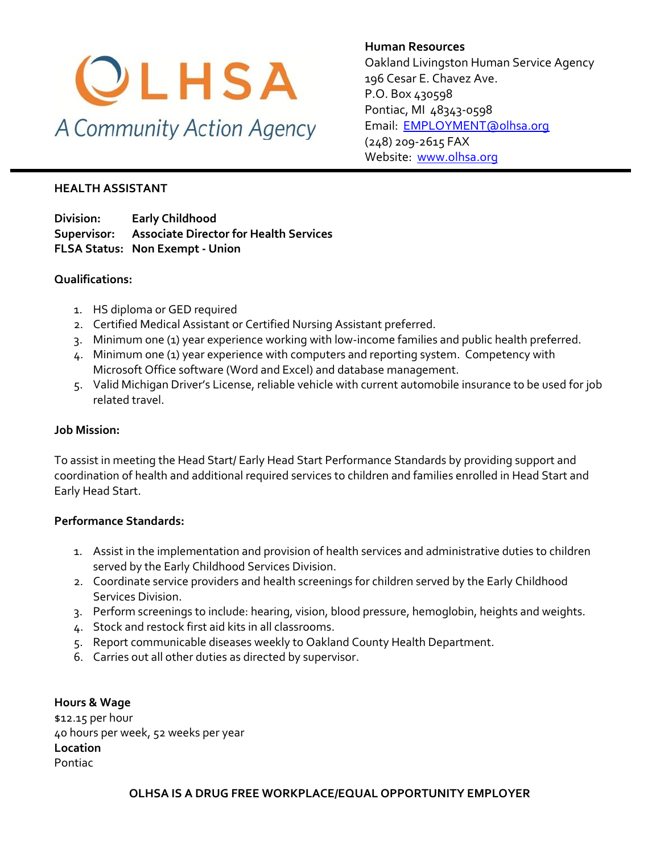

**Human Resources** Oakland Livingston Human Service Agency 196 Cesar E. Chavez Ave. P.O. Box 430598 Pontiac, MI 48343-0598 [Email: EMPLOYMENT@olhsa.org](mailto:JamilaT@olhsa.org) (248) 209-2615 FAX Website: [www.olhsa.org](http://www.olhsa.org/)

#### **HEALTH ASSISTANT**

**Division: Early Childhood Supervisor: Associate Director for Health Services FLSA Status: Non Exempt - Union**

#### **Qualifications:**

- 1. HS diploma or GED required
- 2. Certified Medical Assistant or Certified Nursing Assistant preferred.
- 3. Minimum one (1) year experience working with low-income families and public health preferred.
- 4. Minimum one (1) year experience with computers and reporting system. Competency with Microsoft Office software (Word and Excel) and database management.
- 5. Valid Michigan Driver's License, reliable vehicle with current automobile insurance to be used for job related travel.

### **Job Mission:**

To assist in meeting the Head Start/ Early Head Start Performance Standards by providing support and coordination of health and additional required services to children and families enrolled in Head Start and Early Head Start.

## **Performance Standards:**

- 1. Assist in the implementation and provision of health services and administrative duties to children served by the Early Childhood Services Division.
- 2. Coordinate service providers and health screenings for children served by the Early Childhood Services Division.
- 3. Perform screenings to include: hearing, vision, blood pressure, hemoglobin, heights and weights.
- 4. Stock and restock first aid kits in all classrooms.
- 5. Report communicable diseases weekly to Oakland County Health Department.
- 6. Carries out all other duties as directed by supervisor.

**Hours & Wage** \$12.15 per hour 40 hours per week, 52 weeks per year **Location** Pontiac

**OLHSA IS A DRUG FREE WORKPLACE/EQUAL OPPORTUNITY EMPLOYER**